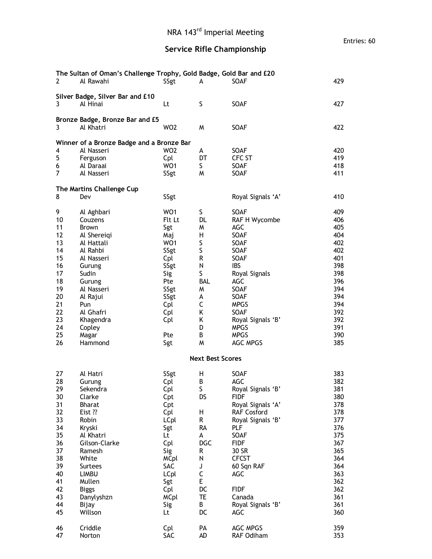## **Service Rifle Championship**

| 2                                         | The Sultan of Oman's Challenge Trophy, Gold Badge, Gold Bar and £20<br>Al Rawahi | SSgt            | A                       | SOAF                      | 429        |  |  |  |  |  |
|-------------------------------------------|----------------------------------------------------------------------------------|-----------------|-------------------------|---------------------------|------------|--|--|--|--|--|
| 3                                         | Silver Badge, Silver Bar and £10<br>Al Hinai                                     | Lt              | S                       | SOAF                      | 427        |  |  |  |  |  |
| 3                                         | Bronze Badge, Bronze Bar and £5<br>Al Khatri                                     | WO <sub>2</sub> | W                       | <b>SOAF</b>               | 422        |  |  |  |  |  |
| Winner of a Bronze Badge and a Bronze Bar |                                                                                  |                 |                         |                           |            |  |  |  |  |  |
| 4                                         | Al Nasseri                                                                       | WO <sub>2</sub> | A                       | SOAF                      | 420        |  |  |  |  |  |
| 5                                         | Ferguson                                                                         | Cpl             | DT                      | CFC ST                    | 419        |  |  |  |  |  |
| 6                                         | Al Daraai                                                                        | WO1             | S.                      | SOAF                      | 418        |  |  |  |  |  |
| $\overline{7}$                            | Al Nasseri                                                                       | SSgt            | M                       | SOAF                      | 411        |  |  |  |  |  |
|                                           | The Martins Challenge Cup                                                        |                 |                         |                           |            |  |  |  |  |  |
| 8                                         | Dev                                                                              | SSgt            |                         | Royal Signals 'A'         | 410        |  |  |  |  |  |
| 9                                         | Al Aghbari                                                                       | WO <sub>1</sub> | S                       | SOAF                      | 409        |  |  |  |  |  |
| 10                                        | Couzens                                                                          | Flt Lt          | DL                      | RAF H Wycombe             | 406        |  |  |  |  |  |
| 11                                        | Brown                                                                            | Sgt             | M                       | AGC                       | 405        |  |  |  |  |  |
| 12                                        | Al Shereiqi                                                                      | Maj             | н                       | SOAF                      | 404        |  |  |  |  |  |
| 13                                        | Al Hattali                                                                       | WO <sub>1</sub> | S                       | <b>SOAF</b>               | 402        |  |  |  |  |  |
| 14                                        | Al Rahbi                                                                         | SSgt            | S                       | SOAF                      | 402        |  |  |  |  |  |
| 15                                        | Al Nasseri                                                                       | Cpl             | R                       | SOAF                      | 401        |  |  |  |  |  |
| 16                                        | Gurung                                                                           | SSgt            | N                       | <b>IBS</b>                | 398        |  |  |  |  |  |
| 17                                        | Sudin                                                                            | Sig             | S                       | Royal Signals             | 398        |  |  |  |  |  |
| 18                                        | Gurung                                                                           | Pte             | BAL                     | AGC                       | 396        |  |  |  |  |  |
| 19                                        | Al Nasseri                                                                       | SSgt            | M                       | SOAF                      | 394        |  |  |  |  |  |
| 20                                        | Al Rajui                                                                         | SSgt            | A                       | SOAF                      | 394        |  |  |  |  |  |
| 21<br>22                                  | Pun                                                                              | Cpl             | C                       | <b>MPGS</b>               | 394<br>392 |  |  |  |  |  |
| 23                                        | Al Ghafri<br>Khagendra                                                           | Cpl             | Κ<br>K                  | SOAF<br>Royal Signals 'B' | 392        |  |  |  |  |  |
| 24                                        |                                                                                  | Cpl             | D                       | <b>MPGS</b>               | 391        |  |  |  |  |  |
| 25                                        | Copley<br>Magar                                                                  | Pte             | В                       | <b>MPGS</b>               | 390        |  |  |  |  |  |
| 26                                        | Hammond                                                                          | Sgt             | M                       | AGC MPGS                  | 385        |  |  |  |  |  |
|                                           |                                                                                  |                 | <b>Next Best Scores</b> |                           |            |  |  |  |  |  |
|                                           |                                                                                  |                 |                         |                           |            |  |  |  |  |  |
| 27                                        | Al Hatri                                                                         | SSgt            | н                       | SOAF                      | 383        |  |  |  |  |  |
| 28                                        | Gurung                                                                           | Cpl             | B                       | AGC                       | 382        |  |  |  |  |  |
| 29                                        | Sekendra                                                                         | Cpl             | S                       | Royal Signals 'B'         | 381        |  |  |  |  |  |
| 30                                        | Clarke                                                                           | Cpt             | DS                      | <b>FIDF</b>               | 380        |  |  |  |  |  |
| 31                                        | <b>Bharat</b>                                                                    | Cpt             |                         | Royal Signals 'A'         | 378        |  |  |  |  |  |
| 32                                        | Eist ??                                                                          | Cpl             | н                       | RAF Cosford               | 378        |  |  |  |  |  |
| 33<br>34                                  | Robin<br>Kryski                                                                  | <b>LCpl</b>     | R<br>RA                 | Royal Signals 'B'<br>PLF  | 377<br>376 |  |  |  |  |  |
| 35                                        | Al Khatri                                                                        | Sgt<br>Lt.      | A                       | SOAF                      | 375        |  |  |  |  |  |
| 36                                        | Gilson-Clarke                                                                    | Cpl             | <b>DGC</b>              | <b>FIDF</b>               | 367        |  |  |  |  |  |
| 37                                        | Ramesh                                                                           | Sig             | R                       | 30 SR                     | 365        |  |  |  |  |  |
| 38                                        | White                                                                            | <b>MCpl</b>     | N                       | <b>CFCST</b>              | 364        |  |  |  |  |  |
| 39                                        | <b>Surtees</b>                                                                   | SAC             | J                       | 60 Sqn RAF                | 364        |  |  |  |  |  |
| 40                                        | <b>LIMBU</b>                                                                     | <b>LCpl</b>     | $\mathsf C$             | AGC                       | 363        |  |  |  |  |  |
| 41                                        | Mullen                                                                           | Sgt             | E                       |                           | 362        |  |  |  |  |  |
| 42                                        | <b>Biggs</b>                                                                     | Cpl             | DC                      | <b>FIDF</b>               | 362        |  |  |  |  |  |
| 43                                        | Danylyshzn                                                                       | <b>MCpl</b>     | TE                      | Canada                    | 361        |  |  |  |  |  |
| 44                                        | Bijay                                                                            | Sig             | B                       | Royal Signals 'B'         | 361        |  |  |  |  |  |
| 45                                        | Willson                                                                          | Lt              | DC                      | AGC                       | 360        |  |  |  |  |  |
| 46                                        | Criddle                                                                          | Cpl             | PA                      | AGC MPGS                  | 359        |  |  |  |  |  |
| 47                                        | Norton                                                                           | SAC             | AD                      | RAF Odiham                | 353        |  |  |  |  |  |